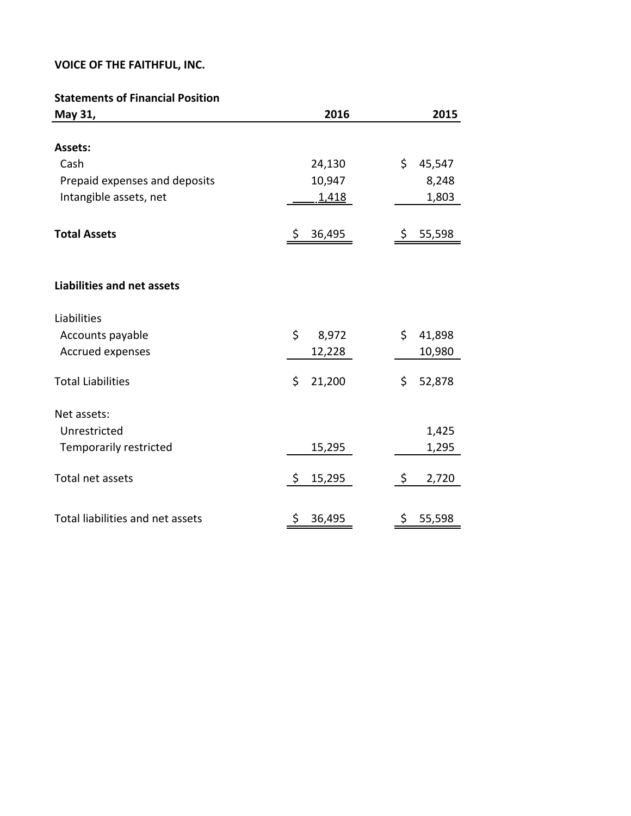#### **Statements of Financial Position**

| May 31,                           | 2016         | 2015         |
|-----------------------------------|--------------|--------------|
|                                   |              |              |
| Assets:                           |              |              |
| Cash                              | 24,130       | \$<br>45,547 |
| Prepaid expenses and deposits     | 10,947       | 8,248        |
| Intangible assets, net            | 1,418        | 1,803        |
| <b>Total Assets</b>               | \$<br>36,495 | 55,598<br>\$ |
|                                   |              |              |
| <b>Liabilities and net assets</b> |              |              |
| Liabilities                       |              |              |
| Accounts payable                  | \$<br>8,972  | \$<br>41,898 |
| Accrued expenses                  | 12,228       | 10,980       |
| <b>Total Liabilities</b>          | \$<br>21,200 | \$<br>52,878 |
| Net assets:                       |              |              |
| Unrestricted                      |              | 1,425        |
| <b>Temporarily restricted</b>     | 15,295       | 1,295        |
| Total net assets                  | \$<br>15,295 | \$<br>2,720  |
| Total liabilities and net assets  | \$<br>36,495 | \$<br>55,598 |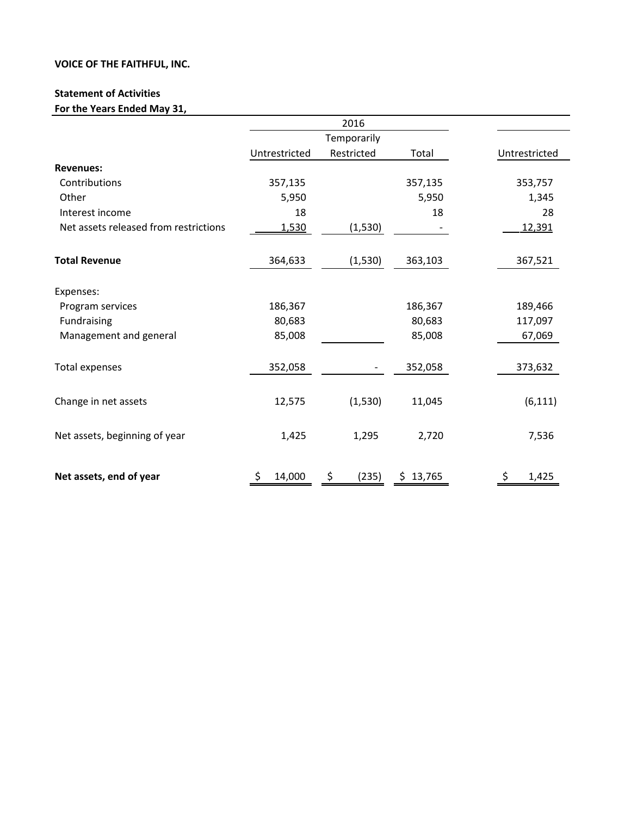#### **Statement of Activities**

For the Years Ended May 31,

|                                       |               | 2016        |          |               |
|---------------------------------------|---------------|-------------|----------|---------------|
|                                       |               |             |          |               |
|                                       | Untrestricted | Restricted  | Total    | Untrestricted |
| <b>Revenues:</b>                      |               |             |          |               |
| Contributions                         | 357,135       |             | 357,135  | 353,757       |
| Other                                 | 5,950         |             | 5,950    | 1,345         |
| Interest income                       | 18            |             | 18       | 28            |
| Net assets released from restrictions | 1,530         | (1, 530)    |          | 12,391        |
| <b>Total Revenue</b>                  | 364,633       | (1, 530)    | 363,103  | 367,521       |
| Expenses:                             |               |             |          |               |
| Program services                      | 186,367       |             | 186,367  | 189,466       |
| Fundraising                           | 80,683        |             | 80,683   | 117,097       |
| Management and general                | 85,008        |             | 85,008   | 67,069        |
| Total expenses                        | 352,058       |             | 352,058  | 373,632       |
| Change in net assets                  | 12,575        | (1, 530)    | 11,045   | (6, 111)      |
| Net assets, beginning of year         | 1,425         | 1,295       | 2,720    | 7,536         |
| Net assets, end of year               | 14,000        | (235)<br>\$ | \$13,765 | 1,425         |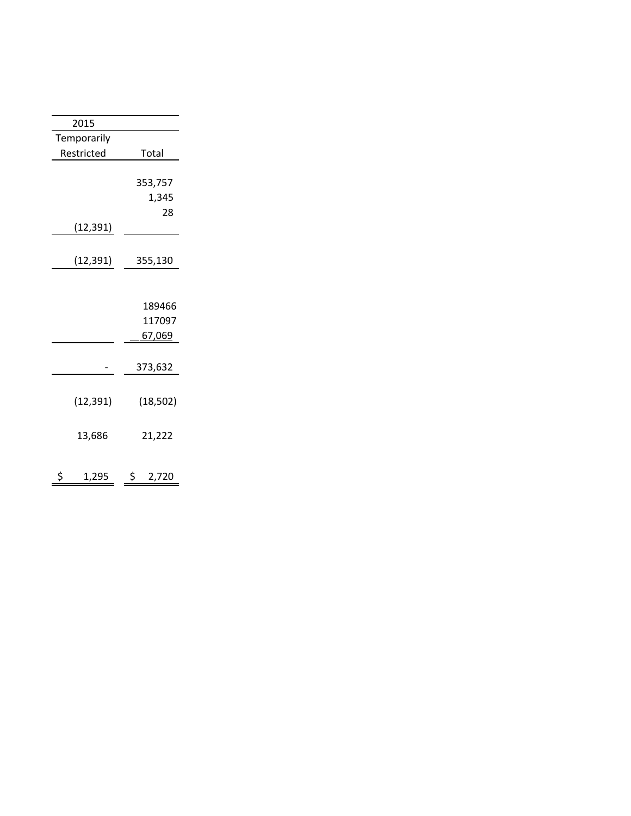| 2015        |               |
|-------------|---------------|
| Temporarily |               |
| Restricted  | Total         |
|             |               |
|             | 353,757       |
|             | 1,345         |
|             | 28            |
| (12,391)    |               |
|             |               |
| (12,391)    | 355,130       |
|             |               |
|             |               |
|             | 189466        |
|             | 117097        |
|             | <u>67,069</u> |
|             |               |
|             | 373,632       |
|             |               |
| (12, 391)   | (18, 502)     |
|             |               |
|             |               |
| 13,686      | 21,222        |
|             |               |
| \$<br>1,295 | \$<br>2,720   |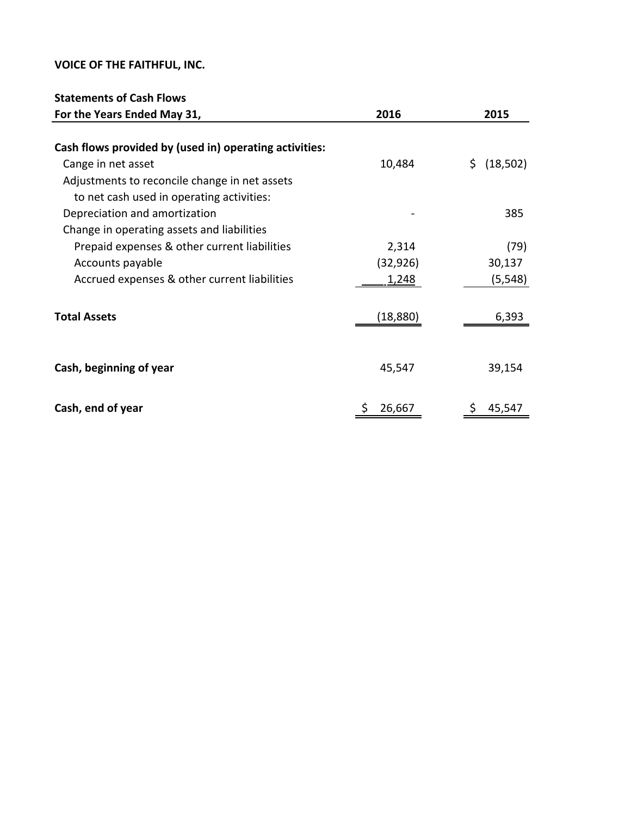# **Statements of Cash Flows**

| For the Years Ended May 31,                            | 2016      | 2015        |
|--------------------------------------------------------|-----------|-------------|
|                                                        |           |             |
| Cash flows provided by (used in) operating activities: |           |             |
| Cange in net asset                                     | 10,484    | \$ (18,502) |
| Adjustments to reconcile change in net assets          |           |             |
| to net cash used in operating activities:              |           |             |
| Depreciation and amortization                          |           | 385         |
| Change in operating assets and liabilities             |           |             |
| Prepaid expenses & other current liabilities           | 2,314     | (79)        |
| Accounts payable                                       | (32, 926) | 30,137      |
| Accrued expenses & other current liabilities           | 1,248     | (5, 548)    |
|                                                        |           |             |
| <b>Total Assets</b>                                    | (18,880)  | 6,393       |
|                                                        |           |             |
|                                                        |           |             |
| Cash, beginning of year                                | 45,547    | 39,154      |
|                                                        |           |             |
| Cash, end of year                                      | 26,667    | 45,547      |